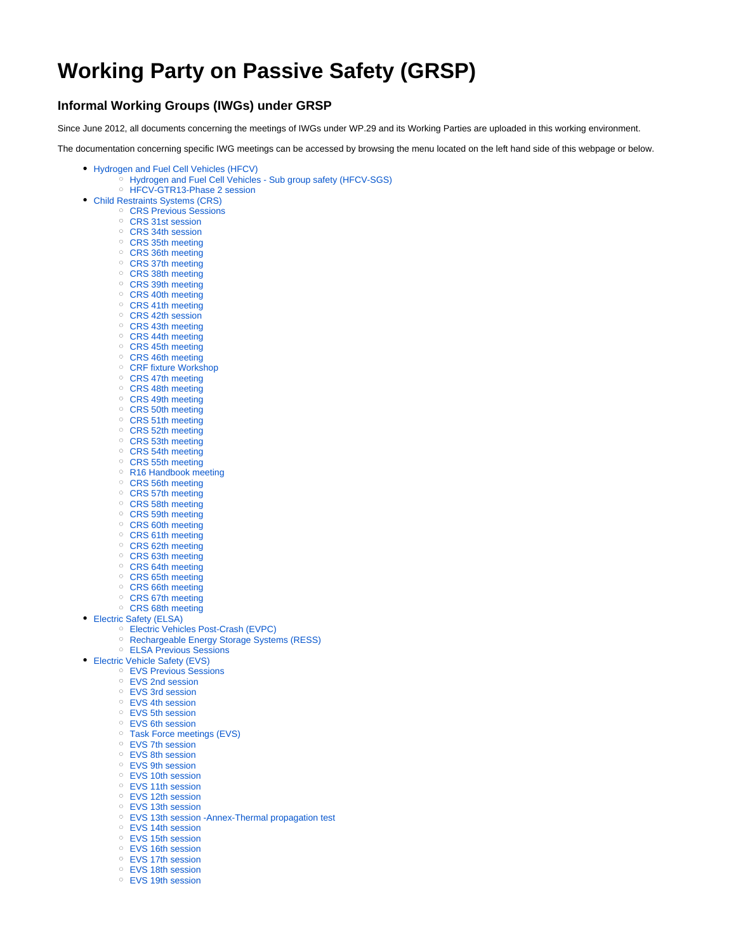## **Working Party on Passive Safety (GRSP)**

## **Informal Working Groups (IWGs) under GRSP**

Since June 2012, all documents concerning the meetings of IWGs under WP.29 and its Working Parties are uploaded in this working environment.

The documentation concerning specific IWG meetings can be accessed by browsing the menu located on the left hand side of this webpage or below.

- [Hydrogen and Fuel Cell Vehicles \(HFCV\)](https://wiki.unece.org/pages/viewpage.action?pageId=3178603)
	- <sup>o</sup> [Hydrogen and Fuel Cell Vehicles Sub group safety \(HFCV-SGS\)](https://wiki.unece.org/pages/viewpage.action?pageId=51972580)
	- o [HFCV-GTR13-Phase 2 session](https://wiki.unece.org/display/trans/HFCV-GTR13-Phase+2+session)
- [Child Restraints Systems \(CRS\)](https://wiki.unece.org/pages/viewpage.action?pageId=3178613)
	- <sup>o</sup> [CRS Previous Sessions](https://wiki.unece.org/display/trans/CRS+Previous+Sessions)
		- <sup>o</sup> [CRS 31st session](https://wiki.unece.org/display/trans/CRS+31st+session) <sup>o</sup> [CRS 34th session](https://wiki.unece.org/display/trans/CRS+34th+session)
		- <sup>o</sup> [CRS 35th meeting](https://wiki.unece.org/display/trans/CRS+35th+meeting)
		- o [CRS 36th meeting](https://wiki.unece.org/display/trans/CRS+36th+meeting)
		- <sup>o</sup> [CRS 37th meeting](https://wiki.unece.org/display/trans/CRS+37th+meeting)
		- <sup>o</sup> [CRS 38th meeting](https://wiki.unece.org/display/trans/CRS+38th+meeting)
		- <sup>o</sup> [CRS 39th meeting](https://wiki.unece.org/display/trans/CRS+39th+meeting)
		- <sup>o</sup> [CRS 40th meeting](https://wiki.unece.org/display/trans/CRS+40th+meeting)
		- [CRS 41th meeting](https://wiki.unece.org/display/trans/CRS+41th+meeting)
		- <sup>o</sup> [CRS 42th session](https://wiki.unece.org/display/trans/CRS+42th+session)
		- <sup>o</sup> [CRS 43th meeting](https://wiki.unece.org/display/trans/CRS+43th+meeting)
		- <sup>o</sup> [CRS 44th meeting](https://wiki.unece.org/display/trans/CRS+44th+meeting)
		- <sup>o</sup> [CRS 45th meeting](https://wiki.unece.org/display/trans/CRS+45th+meeting)
		- o [CRS 46th meeting](https://wiki.unece.org/display/trans/CRS+46th+meeting)
		- <sup>o</sup> [CRF fixture Workshop](https://wiki.unece.org/display/trans/CRF+fixture+Workshop)
		- <sup>o</sup> [CRS 47th meeting](https://wiki.unece.org/display/trans/CRS+47th+meeting)
		- <sup>o</sup> [CRS 48th meeting](https://wiki.unece.org/display/trans/CRS+48th+meeting)
		- [CRS 49th meeting](https://wiki.unece.org/display/trans/CRS+49th+meeting) [CRS 50th meeting](https://wiki.unece.org/display/trans/CRS+50th+meeting)
		- <sup>o</sup> [CRS 51th meeting](https://wiki.unece.org/display/trans/CRS+51th+meeting)
		- <sup>o</sup> [CRS 52th meeting](https://wiki.unece.org/display/trans/CRS+52th+meeting)
		- <sup>o</sup> [CRS 53th meeting](https://wiki.unece.org/display/trans/CRS+53th+meeting)
		- <sup>o</sup> [CRS 54th meeting](https://wiki.unece.org/display/trans/CRS+54th+meeting)
		- <sup>o</sup> [CRS 55th meeting](https://wiki.unece.org/display/trans/CRS+55th+meeting)
		- [R16 Handbook meeting](https://wiki.unece.org/display/trans/R16+Handbook+meeting)
		- <sup>o</sup> [CRS 56th meeting](https://wiki.unece.org/display/trans/CRS+56th+meeting)
		- <sup>o</sup> [CRS 57th meeting](https://wiki.unece.org/display/trans/CRS+57th+meeting)
		- <sup>o</sup> [CRS 58th meeting](https://wiki.unece.org/display/trans/CRS+58th+meeting)
		- o [CRS 59th meeting](https://wiki.unece.org/display/trans/CRS+59th+meeting)
		- <sup>o</sup> [CRS 60th meeting](https://wiki.unece.org/display/trans/CRS+60th+meeting)
		- <sup>o</sup> [CRS 61th meeting](https://wiki.unece.org/display/trans/CRS+61th+meeting)
		- <sup>o</sup> [CRS 62th meeting](https://wiki.unece.org/display/trans/CRS+62th+meeting)
		- <sup>o</sup> [CRS 63th meeting](https://wiki.unece.org/display/trans/CRS+63th+meeting)
		- o [CRS 64th meeting](https://wiki.unece.org/display/trans/CRS+64th+meeting)
		- <sup>o</sup> [CRS 65th meeting](https://wiki.unece.org/display/trans/CRS+65th+meeting)
		- [CRS 66th meeting](https://wiki.unece.org/display/trans/CRS+66th+meeting)
	- <sup>o</sup> [CRS 67th meeting](https://wiki.unece.org/display/trans/CRS+67th+meeting)
	- <sup>o</sup> [CRS 68th meeting](https://wiki.unece.org/display/trans/CRS+68th+meeting)
- [Electric Safety \(ELSA\)](https://wiki.unece.org/pages/viewpage.action?pageId=3178621)
	- [Electric Vehicles Post-Crash \(EVPC\)](https://wiki.unece.org/pages/viewpage.action?pageId=3178623)
	- o [Rechargeable Energy Storage Systems \(RESS\)](https://wiki.unece.org/pages/viewpage.action?pageId=3178625)
	- [ELSA Previous Sessions](https://wiki.unece.org/display/trans/ELSA+Previous+Sessions)
- [Electric Vehicle Safety \(EVS\)](https://wiki.unece.org/pages/viewpage.action?pageId=3178628)
	- [EVS Previous Sessions](https://wiki.unece.org/display/trans/EVS+Previous+Sessions)
	- [EVS 2nd session](https://wiki.unece.org/display/trans/EVS+2nd+session)
	- [EVS 3rd session](https://wiki.unece.org/display/trans/EVS+3rd+session)
	- [EVS 4th session](https://wiki.unece.org/display/trans/EVS+4th+session)
	- [EVS 5th session](https://wiki.unece.org/display/trans/EVS+5th+session)
	- [EVS 6th session](https://wiki.unece.org/display/trans/EVS+6th+session)
	- <sup>o</sup> [Task Force meetings \(EVS\)](https://wiki.unece.org/pages/viewpage.action?pageId=25264130)
	- [EVS 7th session](https://wiki.unece.org/display/trans/EVS+7th+session)
	- [EVS 8th session](https://wiki.unece.org/display/trans/EVS+8th+session)
	- [EVS 9th session](https://wiki.unece.org/display/trans/EVS+9th+session)
	- [EVS 10th session](https://wiki.unece.org/display/trans/EVS+10th+session)
	- [EVS 11th session](https://wiki.unece.org/display/trans/EVS+11th+session)
	- [EVS 12th session](https://wiki.unece.org/display/trans/EVS+12th+session)
	- [EVS 13th session](https://wiki.unece.org/display/trans/EVS+13th+session)
	- [EVS 13th session -Annex-Thermal propagation test](https://wiki.unece.org/display/trans/EVS+13th+session+-Annex-Thermal+propagation+test)
	- [EVS 14th session](https://wiki.unece.org/display/trans/EVS+14th++session)
	- [EVS 15th session](https://wiki.unece.org/display/trans/EVS+15th+session) [EVS 16th session](https://wiki.unece.org/display/trans/EVS+16th+session)
	- [EVS 17th session](https://wiki.unece.org/display/trans/EVS+17th+session)
	- [EVS 18th session](https://wiki.unece.org/display/trans/EVS+18th+session)
	-
	- [EVS 19th session](https://wiki.unece.org/display/trans/EVS+19th+session)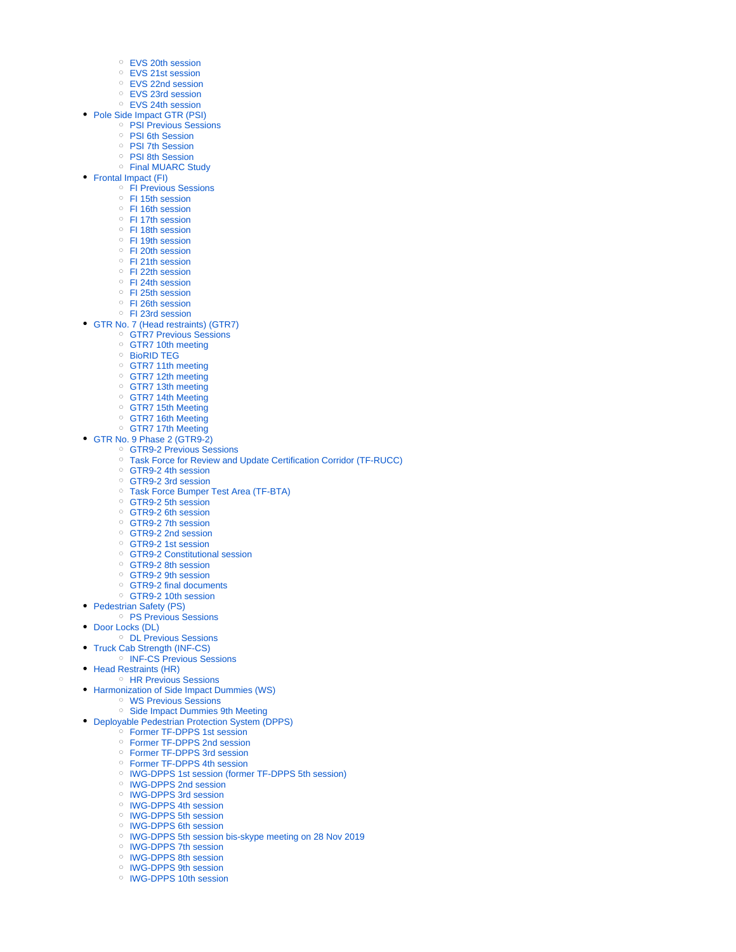- [EVS 20th session](https://wiki.unece.org/display/trans/EVS+20th+session)
- [EVS 21st session](https://wiki.unece.org/display/trans/EVS+21st+session)
- [EVS 22nd session](https://wiki.unece.org/display/trans/EVS+22nd+session)
- [EVS 23rd session](https://wiki.unece.org/display/trans/EVS+23rd+session)
- [EVS 24th session](https://wiki.unece.org/display/trans/EVS+24th+session)
- [Pole Side Impact GTR \(PSI\)](https://wiki.unece.org/pages/viewpage.action?pageId=3178630)
	- <sup>o</sup> [PSI Previous Sessions](https://wiki.unece.org/display/trans/PSI+Previous+Sessions)
		- o [PSI 6th Session](https://wiki.unece.org/display/trans/PSI+6th+Session)
		- o [PSI 7th Session](https://wiki.unece.org/display/trans/PSI+7th+Session)
		- [PSI 8th Session](https://wiki.unece.org/display/trans/PSI+8th+Session) [Final MUARC Study](https://wiki.unece.org/display/trans/Final+MUARC+Study)
- [Frontal Impact \(FI\)](https://wiki.unece.org/pages/viewpage.action?pageId=3178633)
	- [FI Previous Sessions](https://wiki.unece.org/display/trans/FI+Previous+Sessions)
		- [FI 15th session](https://wiki.unece.org/display/trans/FI+15th+session)
		- [FI 16th session](https://wiki.unece.org/display/trans/FI+16th+session)
		- [FI 17th session](https://wiki.unece.org/display/trans/FI+17th+session)
		- [FI 18th session](https://wiki.unece.org/display/trans/FI+18th+session)
		- [FI 19th session](https://wiki.unece.org/display/trans/FI+19th+session)
		- [FI 20th session](https://wiki.unece.org/display/trans/FI+20th+session)
		- [FI 21th session](https://wiki.unece.org/display/trans/FI+21th+session)
		- [FI 22th session](https://wiki.unece.org/display/trans/FI+22th+session)
		- [FI 24th session](https://wiki.unece.org/display/trans/FI+24th+session)
		- [FI 25th session](https://wiki.unece.org/display/trans/FI+25th+session)
		- [FI 26th session](https://wiki.unece.org/display/trans/FI+26th+session)
		- [FI 23rd session](https://wiki.unece.org/display/trans/FI+23rd+session)
- [GTR No. 7 \(Head restraints\) \(GTR7\)](https://wiki.unece.org/pages/viewpage.action?pageId=3178635)
	- <sup>o</sup> [GTR7 Previous Sessions](https://wiki.unece.org/display/trans/GTR7+Previous+Sessions)
		- [GTR7 10th meeting](https://wiki.unece.org/display/trans/GTR7+10th+meeting)
		- [BioRID TEG](https://wiki.unece.org/display/trans/BioRID+TEG)
		- [GTR7 11th meeting](https://wiki.unece.org/display/trans/GTR7+11th+meeting)
		- [GTR7 12th meeting](https://wiki.unece.org/display/trans/GTR7+12th+meeting)
		- [GTR7 13th meeting](https://wiki.unece.org/display/trans/GTR7+13th+meeting)
		- [GTR7 14th Meeting](https://wiki.unece.org/display/trans/GTR7+14th+Meeting)
		- [GTR7 15th Meeting](https://wiki.unece.org/display/trans/GTR7+15th+Meeting)
		- [GTR7 16th Meeting](https://wiki.unece.org/display/trans/GTR7+16th+Meeting)
		- <sup>o</sup> [GTR7 17th Meeting](https://wiki.unece.org/display/trans/GTR7+17th+Meeting)
- [GTR No. 9 Phase 2 \(GTR9-2\)](https://wiki.unece.org/pages/viewpage.action?pageId=3178637)
	- [GTR9-2 Previous Sessions](https://wiki.unece.org/display/trans/GTR9-2+Previous+Sessions)
	- [Task Force for Review and Update Certification Corridor \(TF-RUCC\)](https://wiki.unece.org/pages/viewpage.action?pageId=4063359)
	- [GTR9-2 4th session](https://wiki.unece.org/display/trans/GTR9-2+4th+session)
	- [GTR9-2 3rd session](https://wiki.unece.org/display/trans/GTR9-2+3rd+session)
	- <sup>o</sup> [Task Force Bumper Test Area \(TF-BTA\)](https://wiki.unece.org/pages/viewpage.action?pageId=4064631)
	- [GTR9-2 5th session](https://wiki.unece.org/display/trans/GTR9-2+5th+session)
	- [GTR9-2 6th session](https://wiki.unece.org/display/trans/GTR9-2+6th+session)
	- [GTR9-2 7th session](https://wiki.unece.org/display/trans/GTR9-2+7th+session)
	- <sup>o</sup> [GTR9-2 2nd session](https://wiki.unece.org/display/trans/GTR9-2+2nd+session)
	- [GTR9-2 1st session](https://wiki.unece.org/display/trans/GTR9-2+1st+session)
	- <sup>o</sup> [GTR9-2 Constitutional session](https://wiki.unece.org/display/trans/GTR9-2+Constitutional+session)
	- [GTR9-2 8th session](https://wiki.unece.org/display/trans/GTR9-2+8th+session)
	- [GTR9-2 9th session](https://wiki.unece.org/display/trans/GTR9-2+9th+session)
	- <sup>o</sup> [GTR9-2 final documents](https://wiki.unece.org/display/trans/GTR9-2+final+documents)
	- [GTR9-2 10th session](https://wiki.unece.org/display/trans/GTR9-2+10th+session)
- [Pedestrian Safety \(PS\)](https://wiki.unece.org/pages/viewpage.action?pageId=3178639)
- [PS Previous Sessions](https://wiki.unece.org/display/trans/PS+Previous+Sessions)
- [Door Locks \(DL\)](https://wiki.unece.org/pages/viewpage.action?pageId=3178642)
	- [DL Previous Sessions](https://wiki.unece.org/display/trans/DL+Previous+Sessions)
- [Truck Cab Strength \(INF-CS\)](https://wiki.unece.org/pages/viewpage.action?pageId=3178644)
	- <sup>o</sup> [INF-CS Previous Sessions](https://wiki.unece.org/display/trans/INF-CS+Previous+Sessions)
- [Head Restraints \(HR\)](https://wiki.unece.org/pages/viewpage.action?pageId=3178646)
	- [HR Previous Sessions](https://wiki.unece.org/display/trans/HR+Previous+Sessions)
- [Harmonization of Side Impact Dummies \(WS\)](https://wiki.unece.org/pages/viewpage.action?pageId=3178648)
	- [WS Previous Sessions](https://wiki.unece.org/display/trans/WS+Previous+Sessions)
	- <sup>o</sup> [Side Impact Dummies 9th Meeting](https://wiki.unece.org/display/trans/Side+Impact+Dummies+9th+Meeting)
- [Deployable Pedestrian Protection System \(DPPS\)](https://wiki.unece.org/pages/viewpage.action?pageId=45383713)
	- [Former TF-DPPS 1st session](https://wiki.unece.org/display/trans/Former+TF-DPPS+1st+session)
	- [Former TF-DPPS 2nd session](https://wiki.unece.org/display/trans/Former+TF-DPPS+2nd+session)
	- [Former TF-DPPS 3rd session](https://wiki.unece.org/display/trans/Former+TF-DPPS+3rd+session)
	- [Former TF-DPPS 4th session](https://wiki.unece.org/display/trans/Former+TF-DPPS+4th+session)
	- <sup>o</sup> [IWG-DPPS 1st session \(former TF-DPPS 5th session\)](https://wiki.unece.org/pages/viewpage.action?pageId=60360455)
	- <sup>o</sup> [IWG-DPPS 2nd session](https://wiki.unece.org/display/trans/IWG-DPPS+2nd+session)
	- <sup>o</sup> [IWG-DPPS 3rd session](https://wiki.unece.org/display/trans/IWG-DPPS+3rd+session)
	- <sup>o</sup> [IWG-DPPS 4th session](https://wiki.unece.org/display/trans/IWG-DPPS+4th+session)
	- <sup>o</sup> [IWG-DPPS 5th session](https://wiki.unece.org/display/trans/IWG-DPPS+5th+session) <sup>o</sup> [IWG-DPPS 6th session](https://wiki.unece.org/display/trans/IWG-DPPS+6th+session)
	-
	- [IWG-DPPS 5th session bis-skype meeting on 28 Nov 2019](https://wiki.unece.org/display/trans/IWG-DPPS+5th+session+bis-skype+meeting+on+28+Nov+2019)
	- <sup>o</sup> [IWG-DPPS 7th session](https://wiki.unece.org/display/trans/IWG-DPPS+7th+session)
	- <sup>o</sup> [IWG-DPPS 8th session](https://wiki.unece.org/display/trans/IWG-DPPS+8th+session)
	- <sup>o</sup> [IWG-DPPS 9th session](https://wiki.unece.org/display/trans/IWG-DPPS+9th+session)
	- <sup>o</sup> [IWG-DPPS 10th session](https://wiki.unece.org/display/trans/IWG-DPPS+10th+session)